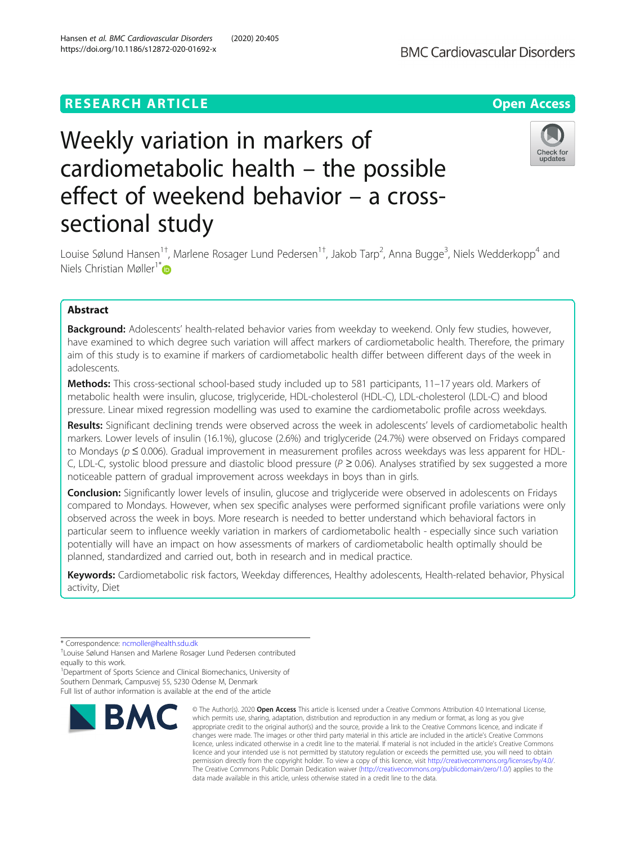# **RESEARCH ARTICLE Example 2014 12:30 The Contract of Contract ACCESS**



# Weekly variation in markers of cardiometabolic health – the possible effect of weekend behavior – a crosssectional study



Louise Sølund Hansen<sup>1†</sup>, Marlene Rosager Lund Pedersen<sup>1†</sup>, Jakob Tarp<sup>2</sup>, Anna Bugge<sup>3</sup>, Niels Wedderkopp<sup>4</sup> and Niels Christian Møller<sup>1\*</sup> $\bullet$ 

# Abstract

**Background:** Adolescents' health-related behavior varies from weekday to weekend. Only few studies, however, have examined to which degree such variation will affect markers of cardiometabolic health. Therefore, the primary aim of this study is to examine if markers of cardiometabolic health differ between different days of the week in adolescents.

Methods: This cross-sectional school-based study included up to 581 participants, 11-17 years old. Markers of metabolic health were insulin, glucose, triglyceride, HDL-cholesterol (HDL-C), LDL-cholesterol (LDL-C) and blood pressure. Linear mixed regression modelling was used to examine the cardiometabolic profile across weekdays.

Results: Significant declining trends were observed across the week in adolescents' levels of cardiometabolic health markers. Lower levels of insulin (16.1%), glucose (2.6%) and triglyceride (24.7%) were observed on Fridays compared to Mondays (p ≤ 0.006). Gradual improvement in measurement profiles across weekdays was less apparent for HDL-C, LDL-C, systolic blood pressure and diastolic blood pressure ( $P \ge 0.06$ ). Analyses stratified by sex suggested a more noticeable pattern of gradual improvement across weekdays in boys than in girls.

**Conclusion:** Significantly lower levels of insulin, glucose and triglyceride were observed in adolescents on Fridays compared to Mondays. However, when sex specific analyses were performed significant profile variations were only observed across the week in boys. More research is needed to better understand which behavioral factors in particular seem to influence weekly variation in markers of cardiometabolic health - especially since such variation potentially will have an impact on how assessments of markers of cardiometabolic health optimally should be planned, standardized and carried out, both in research and in medical practice.

Keywords: Cardiometabolic risk factors, Weekday differences, Healthy adolescents, Health-related behavior, Physical activity, Diet

\* Correspondence: [ncmoller@health.sdu.dk](mailto:ncmoller@health.sdu.dk) †

<sup>1</sup>Department of Sports Science and Clinical Biomechanics, University of Southern Denmark, Campusvej 55, 5230 Odense M, Denmark Full list of author information is available at the end of the article



© The Author(s), 2020 **Open Access** This article is licensed under a Creative Commons Attribution 4.0 International License, which permits use, sharing, adaptation, distribution and reproduction in any medium or format, as long as you give appropriate credit to the original author(s) and the source, provide a link to the Creative Commons licence, and indicate if changes were made. The images or other third party material in this article are included in the article's Creative Commons licence, unless indicated otherwise in a credit line to the material. If material is not included in the article's Creative Commons licence and your intended use is not permitted by statutory regulation or exceeds the permitted use, you will need to obtain permission directly from the copyright holder. To view a copy of this licence, visit [http://creativecommons.org/licenses/by/4.0/.](http://creativecommons.org/licenses/by/4.0/) The Creative Commons Public Domain Dedication waiver [\(http://creativecommons.org/publicdomain/zero/1.0/](http://creativecommons.org/publicdomain/zero/1.0/)) applies to the data made available in this article, unless otherwise stated in a credit line to the data.

Louise Sølund Hansen and Marlene Rosager Lund Pedersen contributed equally to this work.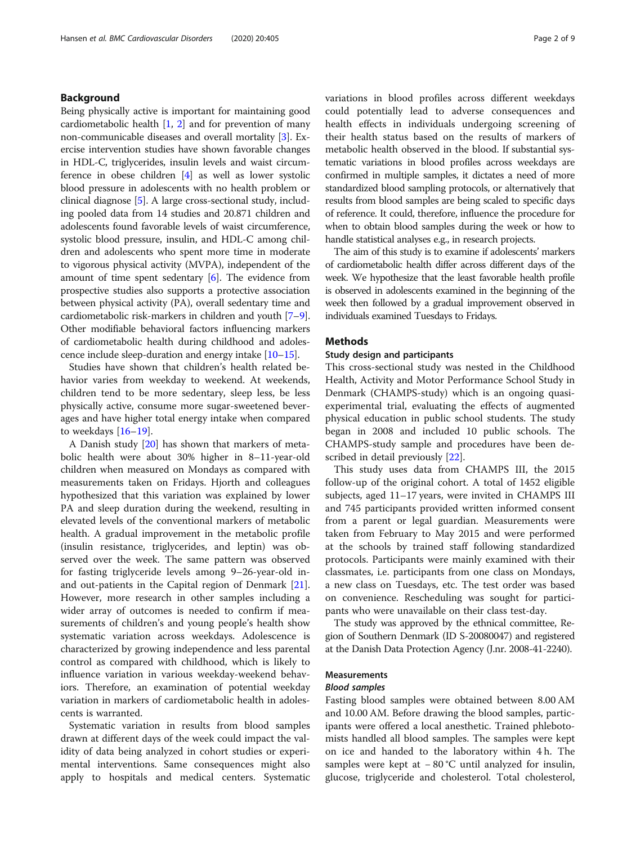# Background

Being physically active is important for maintaining good cardiometabolic health  $[1, 2]$  $[1, 2]$  $[1, 2]$  and for prevention of many non-communicable diseases and overall mortality [[3](#page-7-0)]. Exercise intervention studies have shown favorable changes in HDL-C, triglycerides, insulin levels and waist circumference in obese children [[4\]](#page-7-0) as well as lower systolic blood pressure in adolescents with no health problem or clinical diagnose [[5\]](#page-7-0). A large cross-sectional study, including pooled data from 14 studies and 20.871 children and adolescents found favorable levels of waist circumference, systolic blood pressure, insulin, and HDL-C among children and adolescents who spent more time in moderate to vigorous physical activity (MVPA), independent of the amount of time spent sedentary [[6](#page-7-0)]. The evidence from prospective studies also supports a protective association between physical activity (PA), overall sedentary time and cardiometabolic risk-markers in children and youth [[7](#page-7-0)–[9](#page-7-0)]. Other modifiable behavioral factors influencing markers of cardiometabolic health during childhood and adolescence include sleep-duration and energy intake [\[10](#page-7-0)–[15\]](#page-7-0).

Studies have shown that children's health related behavior varies from weekday to weekend. At weekends, children tend to be more sedentary, sleep less, be less physically active, consume more sugar-sweetened beverages and have higher total energy intake when compared to weekdays [\[16](#page-7-0)–[19\]](#page-7-0).

A Danish study [[20\]](#page-7-0) has shown that markers of metabolic health were about 30% higher in 8–11-year-old children when measured on Mondays as compared with measurements taken on Fridays. Hjorth and colleagues hypothesized that this variation was explained by lower PA and sleep duration during the weekend, resulting in elevated levels of the conventional markers of metabolic health. A gradual improvement in the metabolic profile (insulin resistance, triglycerides, and leptin) was observed over the week. The same pattern was observed for fasting triglyceride levels among 9–26-year-old inand out-patients in the Capital region of Denmark [\[21](#page-7-0)]. However, more research in other samples including a wider array of outcomes is needed to confirm if measurements of children's and young people's health show systematic variation across weekdays. Adolescence is characterized by growing independence and less parental control as compared with childhood, which is likely to influence variation in various weekday-weekend behaviors. Therefore, an examination of potential weekday variation in markers of cardiometabolic health in adolescents is warranted.

Systematic variation in results from blood samples drawn at different days of the week could impact the validity of data being analyzed in cohort studies or experimental interventions. Same consequences might also apply to hospitals and medical centers. Systematic variations in blood profiles across different weekdays could potentially lead to adverse consequences and health effects in individuals undergoing screening of their health status based on the results of markers of metabolic health observed in the blood. If substantial systematic variations in blood profiles across weekdays are confirmed in multiple samples, it dictates a need of more standardized blood sampling protocols, or alternatively that results from blood samples are being scaled to specific days of reference. It could, therefore, influence the procedure for when to obtain blood samples during the week or how to handle statistical analyses e.g., in research projects.

The aim of this study is to examine if adolescents' markers of cardiometabolic health differ across different days of the week. We hypothesize that the least favorable health profile is observed in adolescents examined in the beginning of the week then followed by a gradual improvement observed in individuals examined Tuesdays to Fridays.

#### Methods

#### Study design and participants

This cross-sectional study was nested in the Childhood Health, Activity and Motor Performance School Study in Denmark (CHAMPS-study) which is an ongoing quasiexperimental trial, evaluating the effects of augmented physical education in public school students. The study began in 2008 and included 10 public schools. The CHAMPS-study sample and procedures have been described in detail previously [[22](#page-7-0)].

This study uses data from CHAMPS III, the 2015 follow-up of the original cohort. A total of 1452 eligible subjects, aged 11–17 years, were invited in CHAMPS III and 745 participants provided written informed consent from a parent or legal guardian. Measurements were taken from February to May 2015 and were performed at the schools by trained staff following standardized protocols. Participants were mainly examined with their classmates, i.e. participants from one class on Mondays, a new class on Tuesdays, etc. The test order was based on convenience. Rescheduling was sought for participants who were unavailable on their class test-day.

The study was approved by the ethnical committee, Region of Southern Denmark (ID S-20080047) and registered at the Danish Data Protection Agency (J.nr. 2008-41-2240).

#### Measurements

#### Blood samples

Fasting blood samples were obtained between 8.00 AM and 10.00 AM. Before drawing the blood samples, participants were offered a local anesthetic. Trained phlebotomists handled all blood samples. The samples were kept on ice and handed to the laboratory within 4 h. The samples were kept at −80 °C until analyzed for insulin, glucose, triglyceride and cholesterol. Total cholesterol,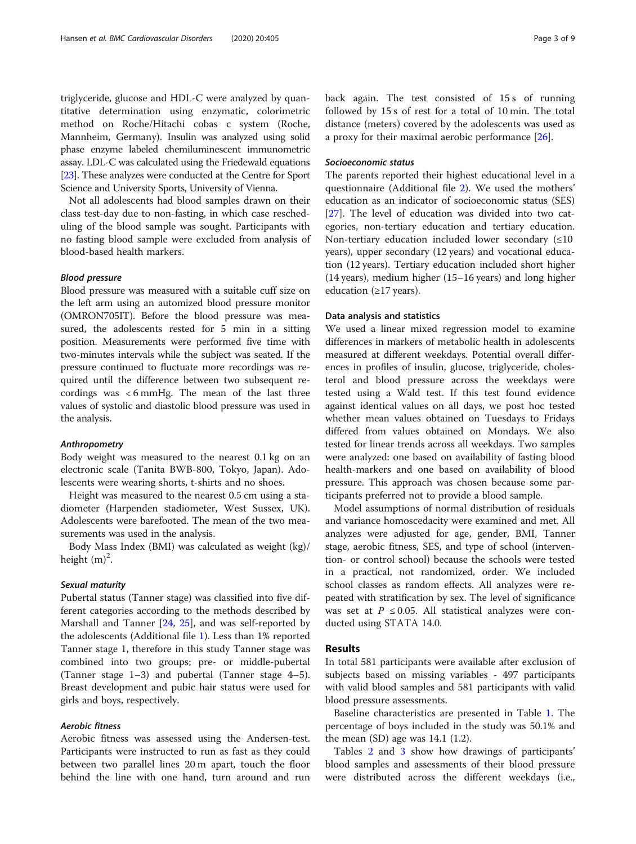triglyceride, glucose and HDL-C were analyzed by quantitative determination using enzymatic, colorimetric method on Roche/Hitachi cobas c system (Roche, Mannheim, Germany). Insulin was analyzed using solid phase enzyme labeled chemiluminescent immunometric assay. LDL-C was calculated using the Friedewald equations [[23](#page-7-0)]. These analyzes were conducted at the Centre for Sport Science and University Sports, University of Vienna.

Not all adolescents had blood samples drawn on their class test-day due to non-fasting, in which case rescheduling of the blood sample was sought. Participants with no fasting blood sample were excluded from analysis of blood-based health markers.

#### Blood pressure

Blood pressure was measured with a suitable cuff size on the left arm using an automized blood pressure monitor (OMRON705IT). Before the blood pressure was measured, the adolescents rested for 5 min in a sitting position. Measurements were performed five time with two-minutes intervals while the subject was seated. If the pressure continued to fluctuate more recordings was required until the difference between two subsequent recordings was < 6 mmHg. The mean of the last three values of systolic and diastolic blood pressure was used in the analysis.

#### Anthropometry

Body weight was measured to the nearest 0.1 kg on an electronic scale (Tanita BWB-800, Tokyo, Japan). Adolescents were wearing shorts, t-shirts and no shoes.

Height was measured to the nearest 0.5 cm using a stadiometer (Harpenden stadiometer, West Sussex, UK). Adolescents were barefooted. The mean of the two measurements was used in the analysis.

Body Mass Index (BMI) was calculated as weight (kg)/ height  $(m)^2$ .

#### Sexual maturity

Pubertal status (Tanner stage) was classified into five different categories according to the methods described by Marshall and Tanner [\[24](#page-7-0), [25\]](#page-8-0), and was self-reported by the adolescents (Additional file [1](#page-6-0)). Less than 1% reported Tanner stage 1, therefore in this study Tanner stage was combined into two groups; pre- or middle-pubertal (Tanner stage 1–3) and pubertal (Tanner stage 4–5). Breast development and pubic hair status were used for girls and boys, respectively.

### Aerobic fitness

Aerobic fitness was assessed using the Andersen-test. Participants were instructed to run as fast as they could between two parallel lines 20 m apart, touch the floor behind the line with one hand, turn around and run back again. The test consisted of 15 s of running followed by 15 s of rest for a total of 10 min. The total distance (meters) covered by the adolescents was used as a proxy for their maximal aerobic performance [\[26](#page-8-0)].

#### Socioeconomic status

The parents reported their highest educational level in a questionnaire (Additional file [2\)](#page-6-0). We used the mothers' education as an indicator of socioeconomic status (SES) [[27\]](#page-8-0). The level of education was divided into two categories, non-tertiary education and tertiary education. Non-tertiary education included lower secondary  $(≤10)$ years), upper secondary (12 years) and vocational education (12 years). Tertiary education included short higher (14 years), medium higher (15–16 years) and long higher education (≥17 years).

#### Data analysis and statistics

We used a linear mixed regression model to examine differences in markers of metabolic health in adolescents measured at different weekdays. Potential overall differences in profiles of insulin, glucose, triglyceride, cholesterol and blood pressure across the weekdays were tested using a Wald test. If this test found evidence against identical values on all days, we post hoc tested whether mean values obtained on Tuesdays to Fridays differed from values obtained on Mondays. We also tested for linear trends across all weekdays. Two samples were analyzed: one based on availability of fasting blood health-markers and one based on availability of blood pressure. This approach was chosen because some participants preferred not to provide a blood sample.

Model assumptions of normal distribution of residuals and variance homoscedacity were examined and met. All analyzes were adjusted for age, gender, BMI, Tanner stage, aerobic fitness, SES, and type of school (intervention- or control school) because the schools were tested in a practical, not randomized, order. We included school classes as random effects. All analyzes were repeated with stratification by sex. The level of significance was set at  $P \leq 0.05$ . All statistical analyzes were conducted using STATA 14.0.

#### Results

In total 581 participants were available after exclusion of subjects based on missing variables - 497 participants with valid blood samples and 581 participants with valid blood pressure assessments.

Baseline characteristics are presented in Table [1](#page-3-0). The percentage of boys included in the study was 50.1% and the mean (SD) age was 14.1 (1.2).

Tables [2](#page-3-0) and [3](#page-4-0) show how drawings of participants' blood samples and assessments of their blood pressure were distributed across the different weekdays (i.e.,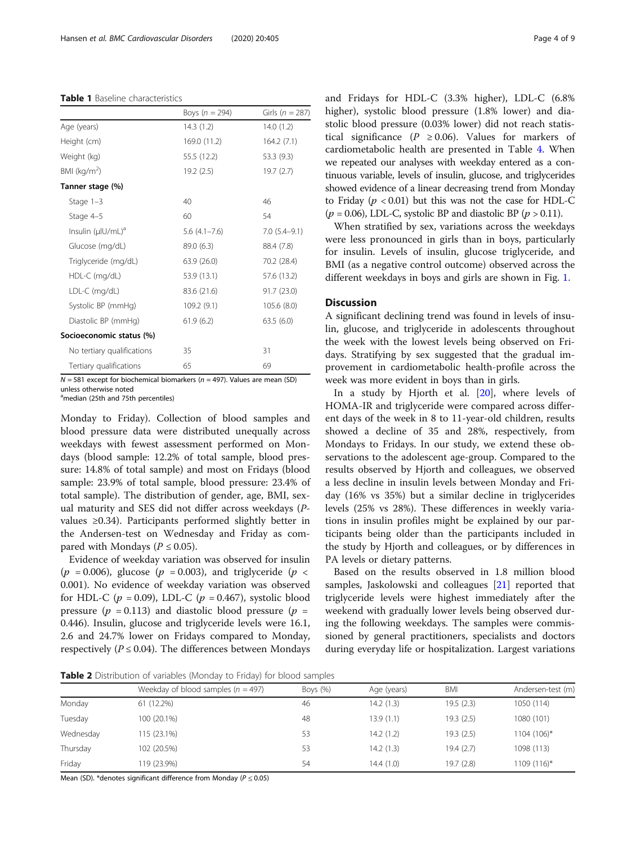#### <span id="page-3-0"></span>Table 1 Baseline characteristics

|                               | Boys ( $n = 294$ ) | Girls ( $n = 287$ ) |
|-------------------------------|--------------------|---------------------|
| Age (years)                   | 14.3(1.2)          | 14.0(1.2)           |
| Height (cm)                   | 169.0 (11.2)       | 164.2(7.1)          |
| Weight (kg)                   | 55.5 (12.2)        | 53.3 (9.3)          |
| BMI ( $kg/m2$ )               | 19.2 (2.5)         | 19.7(2.7)           |
| Tanner stage (%)              |                    |                     |
| Stage $1-3$                   | 40                 | 46                  |
| Stage 4-5                     | 60                 | 54                  |
| Insulin (µlU/mL) <sup>a</sup> | $5.6(4.1-7.6)$     | $7.0(5.4-9.1)$      |
| Glucose (mg/dL)               | 89.0 (6.3)         | 88.4 (7.8)          |
| Triglyceride (mg/dL)          | 63.9 (26.0)        | 70.2 (28.4)         |
| HDL-C (mg/dL)                 | 53.9 (13.1)        | 57.6 (13.2)         |
| LDL-C (mg/dL)                 | 83.6 (21.6)        | 91.7 (23.0)         |
| Systolic BP (mmHg)            | 109.2(9.1)         | 105.6 (8.0)         |
| Diastolic BP (mmHg)           | 61.9(6.2)          | 63.5(6.0)           |
| Socioeconomic status (%)      |                    |                     |
| No tertiary qualifications    | 35                 | 31                  |
| Tertiary qualifications       | 65                 | 69                  |

 $N = 581$  except for biochemical biomarkers ( $n = 497$ ). Values are mean (SD) unless otherwise noted

<sup>a</sup>median (25th and 75th percentiles)

Monday to Friday). Collection of blood samples and blood pressure data were distributed unequally across weekdays with fewest assessment performed on Mondays (blood sample: 12.2% of total sample, blood pressure: 14.8% of total sample) and most on Fridays (blood sample: 23.9% of total sample, blood pressure: 23.4% of total sample). The distribution of gender, age, BMI, sexual maturity and SES did not differ across weekdays (Pvalues ≥0.34). Participants performed slightly better in the Andersen-test on Wednesday and Friday as compared with Mondays ( $P \le 0.05$ ).

Evidence of weekday variation was observed for insulin ( $p = 0.006$ ), glucose ( $p = 0.003$ ), and triglyceride ( $p <$ 0.001). No evidence of weekday variation was observed for HDL-C ( $p = 0.09$ ), LDL-C ( $p = 0.467$ ), systolic blood pressure ( $p = 0.113$ ) and diastolic blood pressure ( $p =$ 0.446). Insulin, glucose and triglyceride levels were 16.1, 2.6 and 24.7% lower on Fridays compared to Monday, respectively ( $P \le 0.04$ ). The differences between Mondays and Fridays for HDL-C (3.3% higher), LDL-C (6.8% higher), systolic blood pressure (1.8% lower) and diastolic blood pressure (0.03% lower) did not reach statistical significance ( $P \ge 0.06$ ). Values for markers of cardiometabolic health are presented in Table [4.](#page-4-0) When we repeated our analyses with weekday entered as a continuous variable, levels of insulin, glucose, and triglycerides showed evidence of a linear decreasing trend from Monday to Friday ( $p < 0.01$ ) but this was not the case for HDL-C  $(p = 0.06)$ , LDL-C, systolic BP and diastolic BP  $(p > 0.11)$ .

When stratified by sex, variations across the weekdays were less pronounced in girls than in boys, particularly for insulin. Levels of insulin, glucose triglyceride, and BMI (as a negative control outcome) observed across the different weekdays in boys and girls are shown in Fig. [1](#page-5-0).

# **Discussion**

A significant declining trend was found in levels of insulin, glucose, and triglyceride in adolescents throughout the week with the lowest levels being observed on Fridays. Stratifying by sex suggested that the gradual improvement in cardiometabolic health-profile across the week was more evident in boys than in girls.

In a study by Hjorth et al. [\[20](#page-7-0)], where levels of HOMA-IR and triglyceride were compared across different days of the week in 8 to 11-year-old children, results showed a decline of 35 and 28%, respectively, from Mondays to Fridays. In our study, we extend these observations to the adolescent age-group. Compared to the results observed by Hjorth and colleagues, we observed a less decline in insulin levels between Monday and Friday (16% vs 35%) but a similar decline in triglycerides levels (25% vs 28%). These differences in weekly variations in insulin profiles might be explained by our participants being older than the participants included in the study by Hjorth and colleagues, or by differences in PA levels or dietary patterns.

Based on the results observed in 1.8 million blood samples, Jaskolowski and colleagues [\[21\]](#page-7-0) reported that triglyceride levels were highest immediately after the weekend with gradually lower levels being observed during the following weekdays. The samples were commissioned by general practitioners, specialists and doctors during everyday life or hospitalization. Largest variations

Table 2 Distribution of variables (Monday to Friday) for blood samples

|           | Weekday of blood samples ( $n = 497$ ) | Boys $(\%)$ | Age (years) | <b>BMI</b> | Andersen-test (m) |
|-----------|----------------------------------------|-------------|-------------|------------|-------------------|
| Monday    | 61 (12.2%)                             | 46          | 14.2(1.3)   | 19.5(2.3)  | 1050 (114)        |
| Tuesday   | 100 (20.1%)                            | 48          | 13.9(1.1)   | 19.3(2.5)  | 1080 (101)        |
| Wednesday | 115 (23.1%)                            | 53          | 14.2(1.2)   | 19.3(2.5)  | 1104 (106)*       |
| Thursday  | 102 (20.5%)                            | 53          | 14.2(1.3)   | 19.4(2.7)  | 1098 (113)        |
| Friday    | 119 (23.9%)                            | 54          | 14.4 (1.0)  | 19.7 (2.8) | 1109 (116)*       |

Mean (SD). \*denotes significant difference from Monday ( $P \le 0.05$ )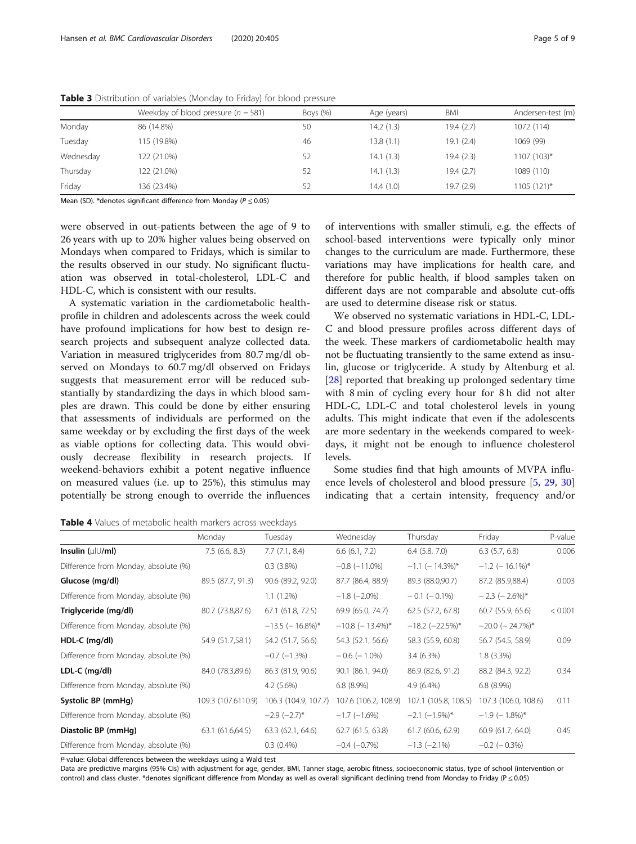|           | Weekday of blood pressure ( $n = 581$ ) | Boys $(\%)$ | Age (years) | BMI       | Andersen-test (m) |
|-----------|-----------------------------------------|-------------|-------------|-----------|-------------------|
| Monday    | 86 (14.8%)                              | 50          | 14.2(1.3)   | 19.4(2.7) | 1072 (114)        |
| Tuesday   | 115 (19.8%)                             | 46          | 13.8(1.1)   | 19.1(2.4) | 1069 (99)         |
| Wednesday | 122 (21.0%)                             | 52          | 14.1(1.3)   | 19.4(2.3) | 1107 (103)*       |
| Thursday  | 122 (21.0%)                             | 52          | 14.1(1.3)   | 19.4(2.7) | 1089 (110)        |
| Friday    | 136 (23.4%)                             | 52          | 14.4 (1.0)  | 19.7(2.9) | 1105 (121)*       |

<span id="page-4-0"></span>Table 3 Distribution of variables (Monday to Friday) for blood pressure

Mean (SD). \*denotes significant difference from Monday (P ≤ 0.05)

were observed in out-patients between the age of 9 to 26 years with up to 20% higher values being observed on Mondays when compared to Fridays, which is similar to the results observed in our study. No significant fluctuation was observed in total-cholesterol, LDL-C and HDL-C, which is consistent with our results.

A systematic variation in the cardiometabolic healthprofile in children and adolescents across the week could have profound implications for how best to design research projects and subsequent analyze collected data. Variation in measured triglycerides from 80.7 mg/dl observed on Mondays to 60.7 mg/dl observed on Fridays suggests that measurement error will be reduced substantially by standardizing the days in which blood samples are drawn. This could be done by either ensuring that assessments of individuals are performed on the same weekday or by excluding the first days of the week as viable options for collecting data. This would obviously decrease flexibility in research projects. If weekend-behaviors exhibit a potent negative influence on measured values (i.e. up to 25%), this stimulus may potentially be strong enough to override the influences of interventions with smaller stimuli, e.g. the effects of school-based interventions were typically only minor changes to the curriculum are made. Furthermore, these variations may have implications for health care, and therefore for public health, if blood samples taken on different days are not comparable and absolute cut-offs are used to determine disease risk or status.

We observed no systematic variations in HDL-C, LDL-C and blood pressure profiles across different days of the week. These markers of cardiometabolic health may not be fluctuating transiently to the same extend as insulin, glucose or triglyceride. A study by Altenburg et al. [[28\]](#page-8-0) reported that breaking up prolonged sedentary time with 8 min of cycling every hour for 8 h did not alter HDL-C, LDL-C and total cholesterol levels in young adults. This might indicate that even if the adolescents are more sedentary in the weekends compared to weekdays, it might not be enough to influence cholesterol levels.

Some studies find that high amounts of MVPA influence levels of cholesterol and blood pressure [\[5](#page-7-0), [29,](#page-8-0) [30](#page-8-0)] indicating that a certain intensity, frequency and/or

Table 4 Values of metabolic health markers across weekdays

|                                      | Monday                     | Tuesday              | Wednesday            | Thursday               | Friday                 | P-value |
|--------------------------------------|----------------------------|----------------------|----------------------|------------------------|------------------------|---------|
| Insulin $(\mu U/m)$                  | 7.5(6.6, 8.3)              | 7.7(7.1, 8.4)        | 6.6(6.1, 7.2)        | $6.4$ $(5.8, 7.0)$     | $6.3$ $(5.7, 6.8)$     | 0.006   |
| Difference from Monday, absolute (%) |                            | $0.3(3.8\%)$         | $-0.8$ $(-11.0\%)$   | $-1.1$ (-14.3%)*       | $-1.2$ (-16.1%)*       |         |
| Glucose (mg/dl)                      | 89.5 (87.7, 91.3)          | 90.6 (89.2, 92.0)    | 87.7 (86.4, 88.9)    | 89.3 (88.0,90.7)       | 87.2 (85.9,88.4)       | 0.003   |
| Difference from Monday, absolute (%) |                            | $1.1(1.2\%)$         | $-1.8$ ( $-2.0\%$ )  | $-0.1$ ( $-0.1\%$ )    | $-2.3$ ( $-2.6\%$ )*   |         |
| Triglyceride (mg/dl)                 | 80.7 (73.8,87.6)           | 67.1 (61.8, 72.5)    | 69.9 (65.0, 74.7)    | 62.5 (57.2, 67.8)      | 60.7 (55.9, 65.6)      | < 0.001 |
| Difference from Monday, absolute (%) |                            | $-13.5$ (-16.8%)*    | $-10.8$ (-13.4%)*    | $-18.2$ ( $-22.5\%$ )* | $-20.0$ ( $-24.7\%$ )* |         |
| HDL-C (mg/dl)                        | 54.9 (51.7,58.1)           | 54.2 (51.7, 56.6)    | 54.3 (52.1, 56.6)    | 58.3 (55.9, 60.8)      | 56.7 (54.5, 58.9)      | 0.09    |
| Difference from Monday, absolute (%) |                            | $-0.7$ ( $-1.3%$ )   | $-0.6$ ( $-1.0\%$ )  | $3.4(6.3\%)$           | $1.8(3.3\%)$           |         |
| LDL-C (mg/dl)                        | 84.0 (78.3,89.6)           | 86.3 (81.9, 90.6)    | 90.1 (86.1, 94.0)    | 86.9 (82.6, 91.2)      | 88.2 (84.3, 92.2)      | 0.34    |
| Difference from Monday, absolute (%) | $6.8(8.9\%)$<br>4.2 (5.6%) |                      | $4.9(6.4\%)$         | $6.8(8.9\%)$           |                        |         |
| Systolic BP (mmHg)                   | 109.3 (107.6110.9)         | 106.3 (104.9, 107.7) | 107.6 (106.2, 108.9) | 107.1 (105.8, 108.5)   | 107.3 (106.0, 108.6)   | 0.11    |
| Difference from Monday, absolute (%) |                            | $-2.9$ $(-2.7)$ *    | $-1.7$ ( $-1.6\%$ )  | $-2.1$ $(-1.9\%)^*$    | $-1.9$ ( $-1.8\%$ )*   |         |
| Diastolic BP (mmHg)                  | 63.1 (61.6,64.5)           | 63.3 (62.1, 64.6)    | 62.7 (61.5, 63.8)    | 61.7 (60.6, 62.9)      | 60.9 (61.7, 64.0)      | 0.45    |
| Difference from Monday, absolute (%) |                            | $0.3(0.4\%)$         | $-0.4$ $(-0.7%)$     | $-1.3$ ( $-2.1\%$ )    | $-0.2$ ( $-0.3\%$ )    |         |

P-value: Global differences between the weekdays using a Wald test

Data are predictive margins (95% CIs) with adjustment for age, gender, BMI, Tanner stage, aerobic fitness, socioeconomic status, type of school (intervention or control) and class cluster. \*denotes significant difference from Monday as well as overall significant declining trend from Monday to Friday (P ≤ 0.05)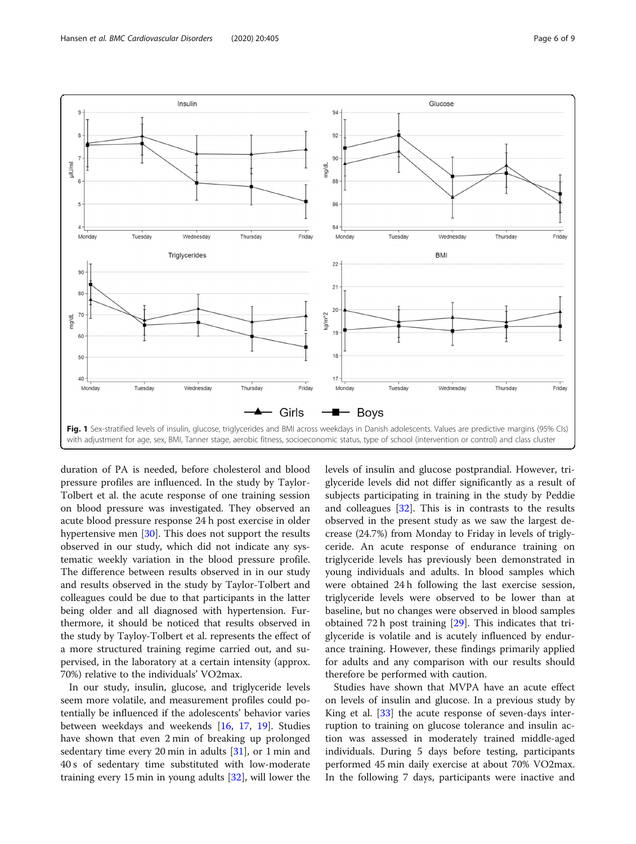<span id="page-5-0"></span>

duration of PA is needed, before cholesterol and blood pressure profiles are influenced. In the study by Taylor-Tolbert et al. the acute response of one training session on blood pressure was investigated. They observed an acute blood pressure response 24 h post exercise in older hypertensive men [\[30](#page-8-0)]. This does not support the results observed in our study, which did not indicate any systematic weekly variation in the blood pressure profile. The difference between results observed in in our study and results observed in the study by Taylor-Tolbert and colleagues could be due to that participants in the latter being older and all diagnosed with hypertension. Furthermore, it should be noticed that results observed in the study by Tayloy-Tolbert et al. represents the effect of a more structured training regime carried out, and supervised, in the laboratory at a certain intensity (approx. 70%) relative to the individuals' VO2max.

In our study, insulin, glucose, and triglyceride levels seem more volatile, and measurement profiles could potentially be influenced if the adolescents' behavior varies between weekdays and weekends [[16,](#page-7-0) [17,](#page-7-0) [19\]](#page-7-0). Studies have shown that even 2 min of breaking up prolonged sedentary time every 20 min in adults [[31](#page-8-0)], or 1 min and 40 s of sedentary time substituted with low-moderate training every 15 min in young adults [\[32](#page-8-0)], will lower the levels of insulin and glucose postprandial. However, triglyceride levels did not differ significantly as a result of subjects participating in training in the study by Peddie and colleagues [[32\]](#page-8-0). This is in contrasts to the results observed in the present study as we saw the largest decrease (24.7%) from Monday to Friday in levels of triglyceride. An acute response of endurance training on triglyceride levels has previously been demonstrated in young individuals and adults. In blood samples which were obtained 24 h following the last exercise session, triglyceride levels were observed to be lower than at baseline, but no changes were observed in blood samples obtained 72 h post training [[29\]](#page-8-0). This indicates that triglyceride is volatile and is acutely influenced by endurance training. However, these findings primarily applied for adults and any comparison with our results should therefore be performed with caution.

Studies have shown that MVPA have an acute effect on levels of insulin and glucose. In a previous study by King et al.  $\left[33\right]$  the acute response of seven-days interruption to training on glucose tolerance and insulin action was assessed in moderately trained middle-aged individuals. During 5 days before testing, participants performed 45 min daily exercise at about 70% VO2max. In the following 7 days, participants were inactive and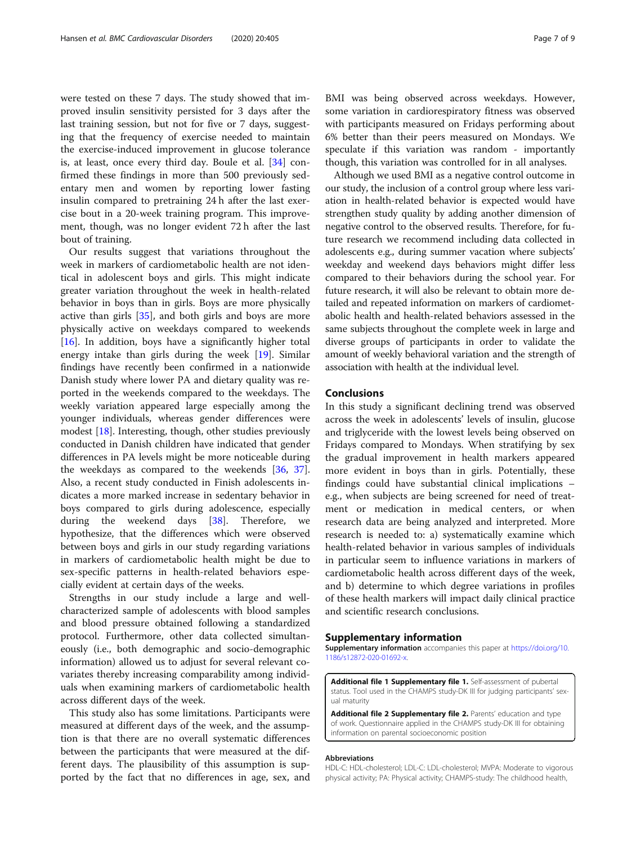<span id="page-6-0"></span>were tested on these 7 days. The study showed that improved insulin sensitivity persisted for 3 days after the last training session, but not for five or 7 days, suggesting that the frequency of exercise needed to maintain the exercise-induced improvement in glucose tolerance is, at least, once every third day. Boule et al. [[34\]](#page-8-0) confirmed these findings in more than 500 previously sedentary men and women by reporting lower fasting insulin compared to pretraining 24 h after the last exercise bout in a 20-week training program. This improvement, though, was no longer evident 72 h after the last bout of training.

Our results suggest that variations throughout the week in markers of cardiometabolic health are not identical in adolescent boys and girls. This might indicate greater variation throughout the week in health-related behavior in boys than in girls. Boys are more physically active than girls [\[35](#page-8-0)], and both girls and boys are more physically active on weekdays compared to weekends [[16\]](#page-7-0). In addition, boys have a significantly higher total energy intake than girls during the week [[19](#page-7-0)]. Similar findings have recently been confirmed in a nationwide Danish study where lower PA and dietary quality was reported in the weekends compared to the weekdays. The weekly variation appeared large especially among the younger individuals, whereas gender differences were modest [[18](#page-7-0)]. Interesting, though, other studies previously conducted in Danish children have indicated that gender differences in PA levels might be more noticeable during the weekdays as compared to the weekends [\[36,](#page-8-0) [37](#page-8-0)]. Also, a recent study conducted in Finish adolescents indicates a more marked increase in sedentary behavior in boys compared to girls during adolescence, especially during the weekend days [[38\]](#page-8-0). Therefore, we hypothesize, that the differences which were observed between boys and girls in our study regarding variations in markers of cardiometabolic health might be due to sex-specific patterns in health-related behaviors especially evident at certain days of the weeks.

Strengths in our study include a large and wellcharacterized sample of adolescents with blood samples and blood pressure obtained following a standardized protocol. Furthermore, other data collected simultaneously (i.e., both demographic and socio-demographic information) allowed us to adjust for several relevant covariates thereby increasing comparability among individuals when examining markers of cardiometabolic health across different days of the week.

This study also has some limitations. Participants were measured at different days of the week, and the assumption is that there are no overall systematic differences between the participants that were measured at the different days. The plausibility of this assumption is supported by the fact that no differences in age, sex, and BMI was being observed across weekdays. However, some variation in cardiorespiratory fitness was observed with participants measured on Fridays performing about 6% better than their peers measured on Mondays. We speculate if this variation was random - importantly though, this variation was controlled for in all analyses.

Although we used BMI as a negative control outcome in our study, the inclusion of a control group where less variation in health-related behavior is expected would have strengthen study quality by adding another dimension of negative control to the observed results. Therefore, for future research we recommend including data collected in adolescents e.g., during summer vacation where subjects' weekday and weekend days behaviors might differ less compared to their behaviors during the school year. For future research, it will also be relevant to obtain more detailed and repeated information on markers of cardiometabolic health and health-related behaviors assessed in the same subjects throughout the complete week in large and diverse groups of participants in order to validate the amount of weekly behavioral variation and the strength of association with health at the individual level.

#### Conclusions

In this study a significant declining trend was observed across the week in adolescents' levels of insulin, glucose and triglyceride with the lowest levels being observed on Fridays compared to Mondays. When stratifying by sex the gradual improvement in health markers appeared more evident in boys than in girls. Potentially, these findings could have substantial clinical implications – e.g., when subjects are being screened for need of treatment or medication in medical centers, or when research data are being analyzed and interpreted. More research is needed to: a) systematically examine which health-related behavior in various samples of individuals in particular seem to influence variations in markers of cardiometabolic health across different days of the week, and b) determine to which degree variations in profiles of these health markers will impact daily clinical practice and scientific research conclusions.

#### Supplementary information

Supplementary information accompanies this paper at [https://doi.org/10.](https://doi.org/10.1186/s12872-020-01692-x) [1186/s12872-020-01692-x.](https://doi.org/10.1186/s12872-020-01692-x)

Additional file 1 Supplementary file 1. Self-assessment of pubertal status. Tool used in the CHAMPS study-DK III for judging participants' sexual maturity

Additional file 2 Supplementary file 2. Parents' education and type of work. Questionnaire applied in the CHAMPS study-DK III for obtaining information on parental socioeconomic position

#### Abbreviations

HDL-C: HDL-cholesterol; LDL-C: LDL-cholesterol; MVPA: Moderate to vigorous physical activity; PA: Physical activity; CHAMPS-study: The childhood health,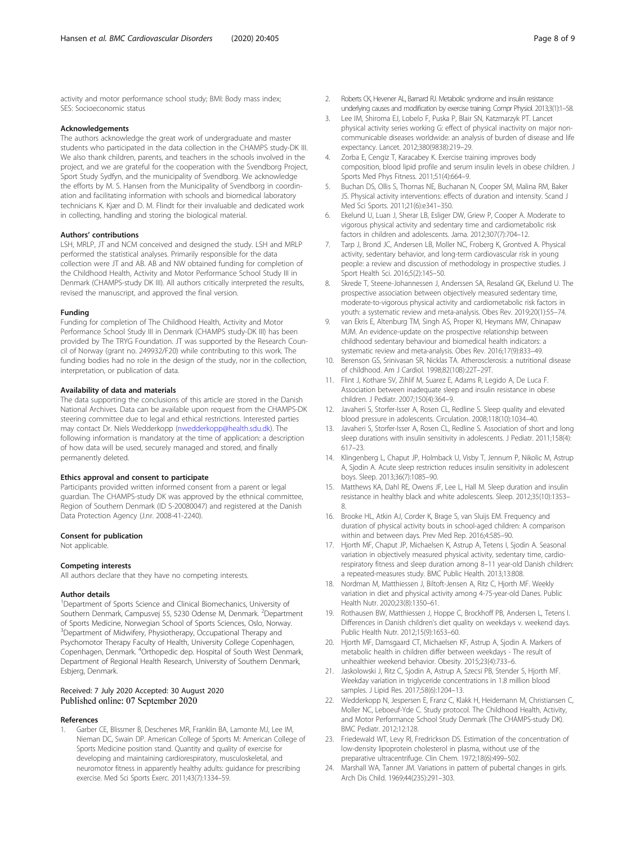<span id="page-7-0"></span>activity and motor performance school study; BMI: Body mass index; SES: Socioeconomic status

#### Acknowledgements

The authors acknowledge the great work of undergraduate and master students who participated in the data collection in the CHAMPS study-DK III. We also thank children, parents, and teachers in the schools involved in the project, and we are grateful for the cooperation with the Svendborg Project, Sport Study Sydfyn, and the municipality of Svendborg. We acknowledge the efforts by M. S. Hansen from the Municipality of Svendborg in coordination and facilitating information with schools and biomedical laboratory technicians K. Kjær and D. M. Flindt for their invaluable and dedicated work in collecting, handling and storing the biological material.

#### Authors' contributions

LSH, MRLP, JT and NCM conceived and designed the study. LSH and MRLP performed the statistical analyses. Primarily responsible for the data collection were JT and AB. AB and NW obtained funding for completion of the Childhood Health, Activity and Motor Performance School Study III in Denmark (CHAMPS-study DK III). All authors critically interpreted the results, revised the manuscript, and approved the final version.

#### Funding

Funding for completion of The Childhood Health, Activity and Motor Performance School Study III in Denmark (CHAMPS study-DK III) has been provided by The TRYG Foundation. JT was supported by the Research Council of Norway (grant no. 249932/F20) while contributing to this work. The funding bodies had no role in the design of the study, nor in the collection, interpretation, or publication of data.

#### Availability of data and materials

The data supporting the conclusions of this article are stored in the Danish National Archives. Data can be available upon request from the CHAMPS-DK steering committee due to legal and ethical restrictions. Interested parties may contact Dr. Niels Wedderkopp [\(nwedderkopp@health.sdu.dk](mailto:nwedderkopp@health.sdu.dk)). The following information is mandatory at the time of application: a description of how data will be used, securely managed and stored, and finally permanently deleted.

#### Ethics approval and consent to participate

Participants provided written informed consent from a parent or legal guardian. The CHAMPS-study DK was approved by the ethnical committee, Region of Southern Denmark (ID S-20080047) and registered at the Danish Data Protection Agency (J.nr. 2008-41-2240).

#### Consent for publication

Not applicable.

#### Competing interests

All authors declare that they have no competing interests.

#### Author details

<sup>1</sup>Department of Sports Science and Clinical Biomechanics, University of Southern Denmark, Campusvej 55, 5230 Odense M, Denmark. <sup>2</sup>Department of Sports Medicine, Norwegian School of Sports Sciences, Oslo, Norway. <sup>3</sup>Department of Midwifery, Physiotherapy, Occupational Therapy and Psychomotor Therapy Faculty of Health, University College Copenhagen, Copenhagen, Denmark. <sup>4</sup> Orthopedic dep. Hospital of South West Denmark, Department of Regional Health Research, University of Southern Denmark, Esbjerg, Denmark.

#### Received: 7 July 2020 Accepted: 30 August 2020 Published online: 07 September 2020

#### References

1. Garber CE, Blissmer B, Deschenes MR, Franklin BA, Lamonte MJ, Lee IM, Nieman DC, Swain DP. American College of Sports M: American College of Sports Medicine position stand. Quantity and quality of exercise for developing and maintaining cardiorespiratory, musculoskeletal, and neuromotor fitness in apparently healthy adults: guidance for prescribing exercise. Med Sci Sports Exerc. 2011;43(7):1334–59.

- 2. Roberts CK, Hevener AL, Barnard RJ. Metabolic syndrome and insulin resistance: underlying causes and modification by exercise training. Compr Physiol. 2013;3(1):1–58.
- 3. Lee IM, Shiroma EJ, Lobelo F, Puska P, Blair SN, Katzmarzyk PT. Lancet physical activity series working G: effect of physical inactivity on major noncommunicable diseases worldwide: an analysis of burden of disease and life expectancy. Lancet. 2012;380(9838):219–29.
- 4. Zorba E, Cengiz T, Karacabey K. Exercise training improves body composition, blood lipid profile and serum insulin levels in obese children. J Sports Med Phys Fitness. 2011;51(4):664–9.
- 5. Buchan DS, Ollis S, Thomas NE, Buchanan N, Cooper SM, Malina RM, Baker JS. Physical activity interventions: effects of duration and intensity. Scand J Med Sci Sports. 2011;21(6):e341–350.
- 6. Ekelund U, Luan J, Sherar LB, Esliger DW, Griew P, Cooper A. Moderate to vigorous physical activity and sedentary time and cardiometabolic risk factors in children and adolescents. Jama. 2012;307(7):704–12.
- 7. Tarp J, Brond JC, Andersen LB, Moller NC, Froberg K, Grontved A. Physical activity, sedentary behavior, and long-term cardiovascular risk in young people: a review and discussion of methodology in prospective studies. J Sport Health Sci. 2016;5(2):145–50.
- 8. Skrede T, Steene-Johannessen J, Anderssen SA, Resaland GK, Ekelund U. The prospective association between objectively measured sedentary time, moderate-to-vigorous physical activity and cardiometabolic risk factors in youth: a systematic review and meta-analysis. Obes Rev. 2019;20(1):55–74.
- 9. van Ekris E, Altenburg TM, Singh AS, Proper KI, Heymans MW, Chinapaw MJM. An evidence-update on the prospective relationship between childhood sedentary behaviour and biomedical health indicators: a systematic review and meta-analysis. Obes Rev. 2016;17(9):833–49.
- 10. Berenson GS, Srinivasan SR, Nicklas TA. Atherosclerosis: a nutritional disease of childhood. Am J Cardiol. 1998;82(10B):22T–29T.
- 11. Flint J, Kothare SV, Zihlif M, Suarez E, Adams R, Legido A, De Luca F. Association between inadequate sleep and insulin resistance in obese children. J Pediatr. 2007;150(4):364–9.
- 12. Javaheri S, Storfer-Isser A, Rosen CL, Redline S. Sleep quality and elevated blood pressure in adolescents. Circulation. 2008;118(10):1034–40.
- 13. Javaheri S, Storfer-Isser A, Rosen CL, Redline S. Association of short and long sleep durations with insulin sensitivity in adolescents. J Pediatr. 2011;158(4): 617–23.
- 14. Klingenberg L, Chaput JP, Holmback U, Visby T, Jennum P, Nikolic M, Astrup A, Sjodin A. Acute sleep restriction reduces insulin sensitivity in adolescent boys. Sleep. 2013;36(7):1085–90.
- 15. Matthews KA, Dahl RE, Owens JF, Lee L, Hall M. Sleep duration and insulin resistance in healthy black and white adolescents. Sleep. 2012;35(10):1353– 8.
- 16. Brooke HL, Atkin AJ, Corder K, Brage S, van Sluijs EM. Frequency and duration of physical activity bouts in school-aged children: A comparison within and between days. Prev Med Rep. 2016;4:585–90.
- 17. Hjorth MF, Chaput JP, Michaelsen K, Astrup A, Tetens I, Sjodin A. Seasonal variation in objectively measured physical activity, sedentary time, cardiorespiratory fitness and sleep duration among 8–11 year-old Danish children: a repeated-measures study. BMC Public Health. 2013;13:808.
- 18. Nordman M, Matthiessen J, Biltoft-Jensen A, Ritz C, Hjorth MF. Weekly variation in diet and physical activity among 4-75-year-old Danes. Public Health Nutr. 2020;23(8):1350–61.
- 19. Rothausen BW, Matthiessen J, Hoppe C, Brockhoff PB, Andersen L, Tetens I. Differences in Danish children's diet quality on weekdays v. weekend days. Public Health Nutr. 2012;15(9):1653–60.
- 20. Hjorth MF, Damsgaard CT, Michaelsen KF, Astrup A, Sjodin A. Markers of metabolic health in children differ between weekdays - The result of unhealthier weekend behavior. Obesity. 2015;23(4):733–6.
- 21. Jaskolowski J, Ritz C, Sjodin A, Astrup A, Szecsi PB, Stender S, Hjorth MF. Weekday variation in triglyceride concentrations in 1.8 million blood samples. J Lipid Res. 2017;58(6):1204–13.
- 22. Wedderkopp N, Jespersen E, Franz C, Klakk H, Heidemann M, Christiansen C, Moller NC, Leboeuf-Yde C. Study protocol. The Childhood Health, Activity, and Motor Performance School Study Denmark (The CHAMPS-study DK). BMC Pediatr. 2012;12:128.
- 23. Friedewald WT, Levy RI, Fredrickson DS. Estimation of the concentration of low-density lipoprotein cholesterol in plasma, without use of the preparative ultracentrifuge. Clin Chem. 1972;18(6):499–502.
- 24. Marshall WA, Tanner JM. Variations in pattern of pubertal changes in girls. Arch Dis Child. 1969;44(235):291–303.